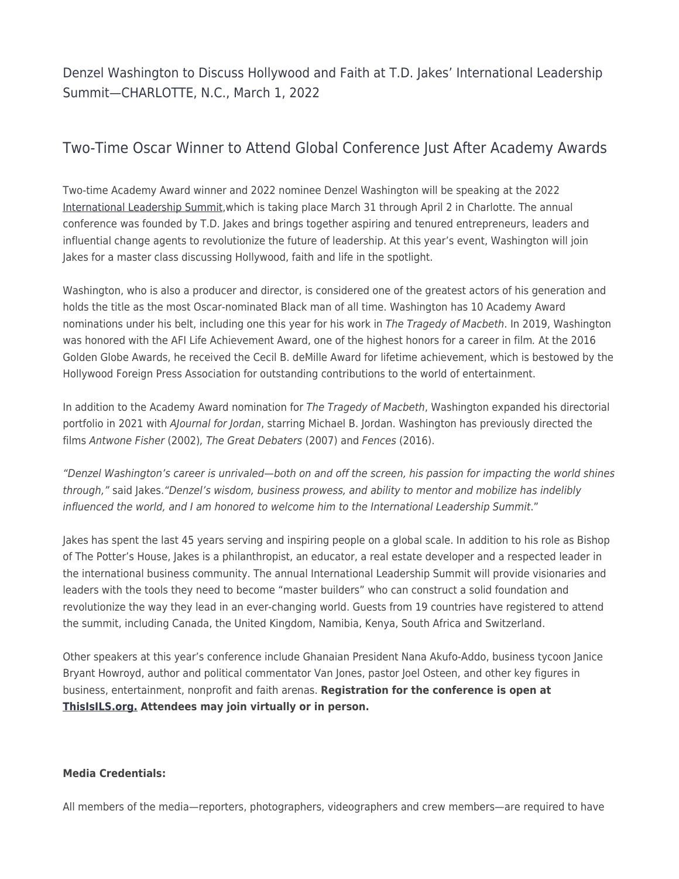Denzel Washington to Discuss Hollywood and Faith at T.D. Jakes' International Leadership Summit—CHARLOTTE, N.C., March 1, 2022

## Two-Time Oscar Winner to Attend Global Conference Just After Academy Awards

Two-time Academy Award winner and 2022 nominee Denzel Washington will be speaking at the 2022 [International Leadership Summit,](https://www.thisisils.org/)which is taking place March 31 through April 2 in Charlotte. The annual conference was founded by T.D. Jakes and brings together aspiring and tenured entrepreneurs, leaders and influential change agents to revolutionize the future of leadership. At this year's event, Washington will join Jakes for a master class discussing Hollywood, faith and life in the spotlight.

Washington, who is also a producer and director, is considered one of the greatest actors of his generation and holds the title as the most Oscar-nominated Black man of all time. Washington has 10 Academy Award nominations under his belt, including one this year for his work in The Tragedy of Macbeth. In 2019, Washington was honored with the AFI Life Achievement Award, one of the highest honors for a career in film. At the 2016 Golden Globe Awards, he received the Cecil B. deMille Award for lifetime achievement, which is bestowed by the Hollywood Foreign Press Association for outstanding contributions to the world of entertainment.

In addition to the Academy Award nomination for The Tragedy of Macbeth, Washington expanded his directorial portfolio in 2021 with AJournal for Jordan, starring Michael B. Jordan. Washington has previously directed the films Antwone Fisher (2002), The Great Debaters (2007) and Fences (2016).

"Denzel Washington's career is unrivaled—both on and off the screen, his passion for impacting the world shines through," said Jakes."Denzel's wisdom, business prowess, and ability to mentor and mobilize has indelibly influenced the world, and I am honored to welcome him to the International Leadership Summit."

Jakes has spent the last 45 years serving and inspiring people on a global scale. In addition to his role as Bishop of The Potter's House, Jakes is a philanthropist, an educator, a real estate developer and a respected leader in the international business community. The annual International Leadership Summit will provide visionaries and leaders with the tools they need to become "master builders" who can construct a solid foundation and revolutionize the way they lead in an ever-changing world. Guests from 19 countries have registered to attend the summit, including Canada, the United Kingdom, Namibia, Kenya, South Africa and Switzerland.

Other speakers at this year's conference include Ghanaian President Nana Akufo-Addo, business tycoon Janice Bryant Howroyd, author and political commentator Van Jones, pastor Joel Osteen, and other key figures in business, entertainment, nonprofit and faith arenas. **Registration for the conference is open at [ThisIsILS.org.](http://www.thisisils.org/) Attendees may join virtually or in person.** 

## **Media Credentials:**

All members of the media—reporters, photographers, videographers and crew members—are required to have